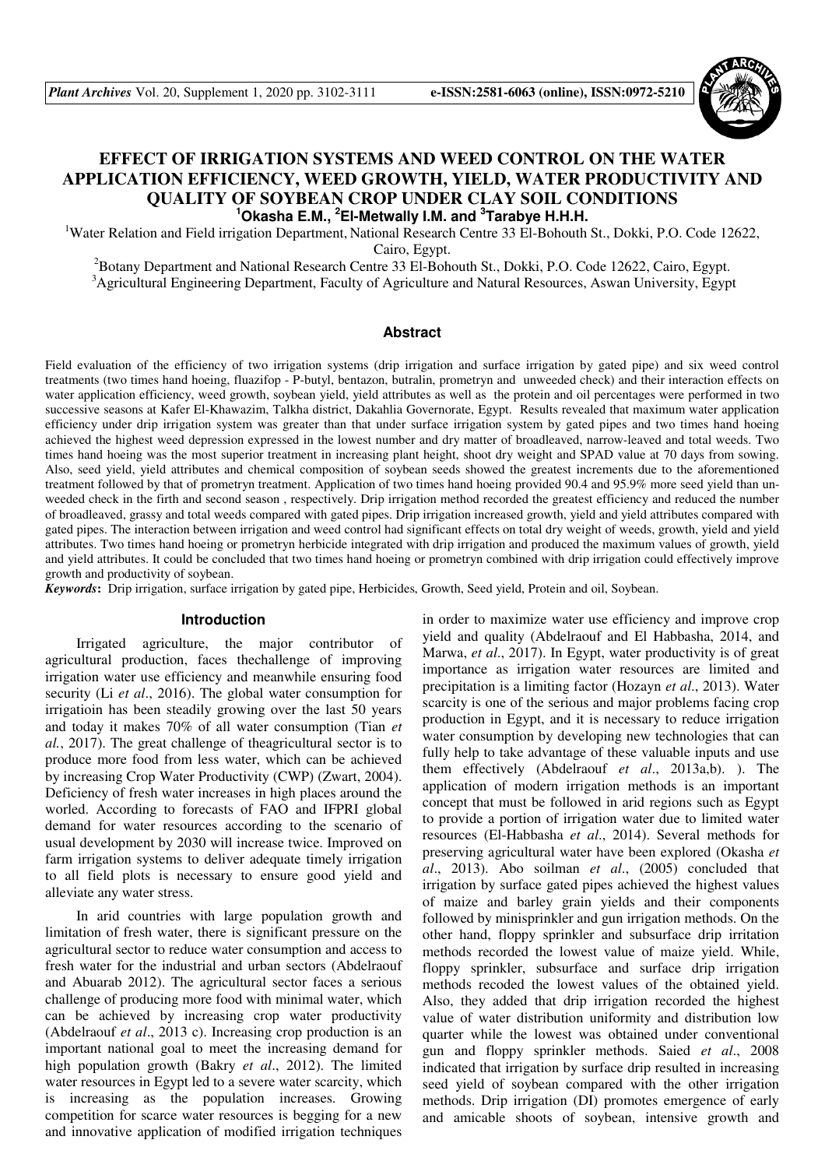

# **EFFECT OF IRRIGATION SYSTEMS AND WEED CONTROL ON THE WATER APPLICATION EFFICIENCY, WEED GROWTH, YIELD, WATER PRODUCTIVITY AND QUALITY OF SOYBEAN CROP UNDER CLAY SOIL CONDITIONS <sup>1</sup>Okasha E.M., <sup>2</sup>El-Metwally I.M. and <sup>3</sup> Tarabye H.H.H.**

<sup>1</sup>Water Relation and Field irrigation Department, National Research Centre 33 El-Bohouth St., Dokki, P.O. Code 12622, Cairo, Egypt.

<sup>2</sup>Botany Department and National Research Centre 33 El-Bohouth St., Dokki, P.O. Code 12622, Cairo, Egypt. <sup>3</sup>Agricultural Engineering Department, Faculty of Agriculture and Natural Resources, Aswan University, Egypt

#### **Abstract**

Field evaluation of the efficiency of two irrigation systems (drip irrigation and surface irrigation by gated pipe) and six weed control treatments (two times hand hoeing, fluazifop - P-butyl, bentazon, butralin, prometryn and unweeded check) and their interaction effects on water application efficiency, weed growth, soybean yield, yield attributes as well as the protein and oil percentages were performed in two successive seasons at Kafer El-Khawazim, Talkha district, Dakahlia Governorate, Egypt. Results revealed that maximum water application efficiency under drip irrigation system was greater than that under surface irrigation system by gated pipes and two times hand hoeing achieved the highest weed depression expressed in the lowest number and dry matter of broadleaved, narrow-leaved and total weeds. Two times hand hoeing was the most superior treatment in increasing plant height, shoot dry weight and SPAD value at 70 days from sowing. Also, seed yield, yield attributes and chemical composition of soybean seeds showed the greatest increments due to the aforementioned treatment followed by that of prometryn treatment. Application of two times hand hoeing provided 90.4 and 95.9% more seed yield than unweeded check in the firth and second season , respectively. Drip irrigation method recorded the greatest efficiency and reduced the number of broadleaved, grassy and total weeds compared with gated pipes. Drip irrigation increased growth, yield and yield attributes compared with gated pipes. The interaction between irrigation and weed control had significant effects on total dry weight of weeds, growth, yield and yield attributes. Two times hand hoeing or prometryn herbicide integrated with drip irrigation and produced the maximum values of growth, yield and yield attributes. It could be concluded that two times hand hoeing or prometryn combined with drip irrigation could effectively improve growth and productivity of soybean.

*Keywords***:** Drip irrigation, surface irrigation by gated pipe, Herbicides, Growth, Seed yield, Protein and oil, Soybean.

## **Introduction**

Irrigated agriculture, the major contributor of agricultural production, faces thechallenge of improving irrigation water use efficiency and meanwhile ensuring food security (Li *et al*., 2016). The global water consumption for irrigatioin has been steadily growing over the last 50 years and today it makes 70% of all water consumption (Tian *et al.*, 2017). The great challenge of theagricultural sector is to produce more food from less water, which can be achieved by increasing Crop Water Productivity (CWP) (Zwart, 2004). Deficiency of fresh water increases in high places around the worled. According to forecasts of FAO and IFPRI global demand for water resources according to the scenario of usual development by 2030 will increase twice. Improved on farm irrigation systems to deliver adequate timely irrigation to all field plots is necessary to ensure good yield and alleviate any water stress.

In arid countries with large population growth and limitation of fresh water, there is significant pressure on the agricultural sector to reduce water consumption and access to fresh water for the industrial and urban sectors (Abdelraouf and Abuarab 2012). The agricultural sector faces a serious challenge of producing more food with minimal water, which can be achieved by increasing crop water productivity (Abdelraouf *et al*., 2013 c). Increasing crop production is an important national goal to meet the increasing demand for high population growth (Bakry *et al*., 2012). The limited water resources in Egypt led to a severe water scarcity, which is increasing as the population increases. Growing competition for scarce water resources is begging for a new and innovative application of modified irrigation techniques

in order to maximize water use efficiency and improve crop yield and quality (Abdelraouf and El Habbasha, 2014, and Marwa, *et al*., 2017). In Egypt, water productivity is of great importance as irrigation water resources are limited and precipitation is a limiting factor (Hozayn *et al*., 2013). Water scarcity is one of the serious and major problems facing crop production in Egypt, and it is necessary to reduce irrigation water consumption by developing new technologies that can fully help to take advantage of these valuable inputs and use them effectively (Abdelraouf *et al*., 2013a,b). ). The application of modern irrigation methods is an important concept that must be followed in arid regions such as Egypt to provide a portion of irrigation water due to limited water resources (El-Habbasha *et al*., 2014). Several methods for preserving agricultural water have been explored (Okasha *et al*., 2013). Abo soilman *et al*., (2005) concluded that irrigation by surface gated pipes achieved the highest values of maize and barley grain yields and their components followed by minisprinkler and gun irrigation methods. On the other hand, floppy sprinkler and subsurface drip irritation methods recorded the lowest value of maize yield. While, floppy sprinkler, subsurface and surface drip irrigation methods recoded the lowest values of the obtained yield. Also, they added that drip irrigation recorded the highest value of water distribution uniformity and distribution low quarter while the lowest was obtained under conventional gun and floppy sprinkler methods. Saied *et al*., 2008 indicated that irrigation by surface drip resulted in increasing seed yield of soybean compared with the other irrigation methods. Drip irrigation (DI) promotes emergence of early and amicable shoots of soybean, intensive growth and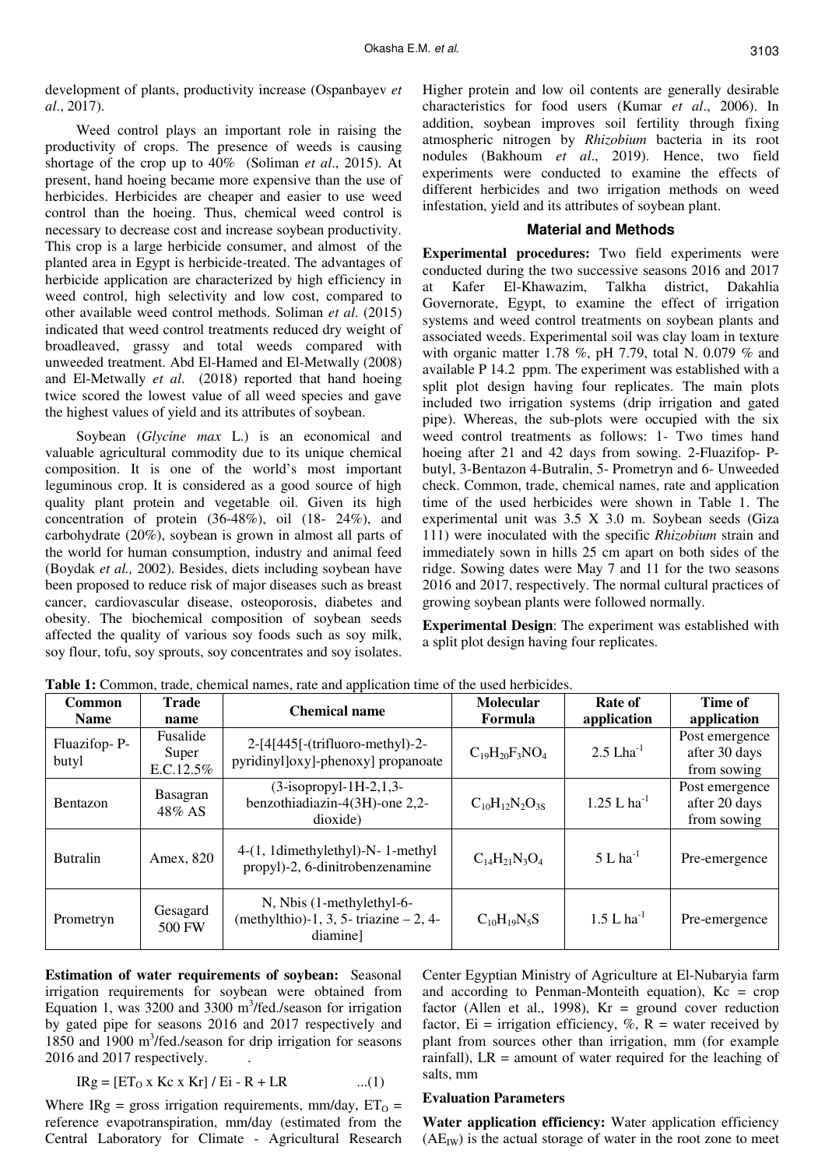development of plants, productivity increase (Ospanbayev *et al*., 2017).

Weed control plays an important role in raising the productivity of crops. The presence of weeds is causing shortage of the crop up to 40% (Soliman *et al*., 2015). At present, hand hoeing became more expensive than the use of herbicides. Herbicides are cheaper and easier to use weed control than the hoeing. Thus, chemical weed control is necessary to decrease cost and increase soybean productivity. This crop is a large herbicide consumer, and almost of the planted area in Egypt is herbicide-treated. The advantages of herbicide application are characterized by high efficiency in weed control, high selectivity and low cost, compared to other available weed control methods. Soliman *et al*. (2015) indicated that weed control treatments reduced dry weight of broadleaved, grassy and total weeds compared with unweeded treatment. Abd El-Hamed and El-Metwally (2008) and El-Metwally *et al*. (2018) reported that hand hoeing twice scored the lowest value of all weed species and gave the highest values of yield and its attributes of soybean.

Soybean (*Glycine max* L.) is an economical and valuable agricultural commodity due to its unique chemical composition. It is one of the world's most important leguminous crop. It is considered as a good source of high quality plant protein and vegetable oil. Given its high concentration of protein (36-48%), oil (18- 24%), and carbohydrate (20%), soybean is grown in almost all parts of the world for human consumption, industry and animal feed (Boydak *et al.,* 2002). Besides, diets including soybean have been proposed to reduce risk of major diseases such as breast cancer, cardiovascular disease, osteoporosis, diabetes and obesity. The biochemical composition of soybean seeds affected the quality of various soy foods such as soy milk, soy flour, tofu, soy sprouts, soy concentrates and soy isolates. Higher protein and low oil contents are generally desirable characteristics for food users (Kumar *et al*., 2006). In addition, soybean improves soil fertility through fixing atmospheric nitrogen by *Rhizobium* bacteria in its root nodules (Bakhoum *et al*., 2019). Hence, two field experiments were conducted to examine the effects of different herbicides and two irrigation methods on weed infestation, yield and its attributes of soybean plant.

## **Material and Methods**

**Experimental procedures:** Two field experiments were conducted during the two successive seasons 2016 and 2017 at Kafer El-Khawazim, Talkha district, Dakahlia Governorate, Egypt, to examine the effect of irrigation systems and weed control treatments on soybean plants and associated weeds. Experimental soil was clay loam in texture with organic matter 1.78 %, pH 7.79, total N. 0.079 % and available P 14.2 ppm. The experiment was established with a split plot design having four replicates. The main plots included two irrigation systems (drip irrigation and gated pipe). Whereas, the sub-plots were occupied with the six weed control treatments as follows: 1- Two times hand hoeing after 21 and 42 days from sowing. 2-Fluazifop- Pbutyl, 3-Bentazon 4-Butralin, 5- Prometryn and 6- Unweeded check. Common, trade, chemical names, rate and application time of the used herbicides were shown in Table 1. The experimental unit was 3.5 X 3.0 m. Soybean seeds (Giza 111) were inoculated with the specific *Rhizobium* strain and immediately sown in hills 25 cm apart on both sides of the ridge. Sowing dates were May 7 and 11 for the two seasons 2016 and 2017, respectively. The normal cultural practices of growing soybean plants were followed normally.

**Experimental Design**: The experiment was established with a split plot design having four replicates.

| <b>Common</b><br><b>Name</b> | <b>Trade</b><br>name           | <b>Chemical name</b>                                                              | Molecular<br>Formula    | Rate of<br>application    | Time of<br>application                         |
|------------------------------|--------------------------------|-----------------------------------------------------------------------------------|-------------------------|---------------------------|------------------------------------------------|
| Fluazifop-P-<br>butyl        | Fusalide<br>Super<br>E.C.12.5% | $2-[4[445]-(\text{trifluoro-methyl})-2-$<br>pyridinyl]oxy]-phenoxy] propanoate    | $C_{19}H_{20}F_3NO_4$   | $2.5$ Lha <sup>-1</sup>   | Post emergence<br>after 30 days<br>from sowing |
| <b>Bentazon</b>              | <b>Basagran</b><br>48% AS      | $(3-isopropyl-1H-2,1,3-$<br>benzothiadiazin-4(3H)-one 2,2-<br>dioxide)            | $C_{10}H_{12}N_2O_{3S}$ | $1.25$ L ha <sup>-1</sup> | Post emergence<br>after 20 days<br>from sowing |
| <b>Butralin</b>              | Amex, 820                      | 4-(1, 1dimethylethyl)-N- 1-methyl<br>propyl)-2, 6-dinitrobenzenamine              | $C_{14}H_{21}N_3O_4$    | $5 L ha^{-1}$             | Pre-emergence                                  |
| Prometryn                    | Gesagard<br>500 FW             | N, Nbis (1-methylethyl-6-<br>(methylthio)-1, 3, 5- triazine $-2$ , 4-<br>diamine] | $C_{10}H_{19}N_5S$      | $1.5 L ha^{-1}$           | Pre-emergence                                  |

**Table 1:** Common, trade, chemical names, rate and application time of the used herbicides.

**Estimation of water requirements of soybean:** Seasonal irrigation requirements for soybean were obtained from Equation 1, was  $3200$  and  $3300 \text{ m}^3/\text{fed}$ ./season for irrigation by gated pipe for seasons 2016 and 2017 respectively and 1850 and 1900 m<sup>3</sup>/fed./season for drip irrigation for seasons 2016 and 2017 respectively. .

$$
IRg = [ET0 x Kc x Kr] / Ei - R + LR
$$
 ...(1)

Where IRg = gross irrigation requirements, mm/day,  $ET_0$  = reference evapotranspiration, mm/day (estimated from the Central Laboratory for Climate - Agricultural Research

Center Egyptian Ministry of Agriculture at El-Nubaryia farm and according to Penman-Monteith equation),  $Kc = crop$ factor (Allen et al., 1998),  $Kr =$  ground cover reduction factor, Ei = irrigation efficiency,  $\%$ , R = water received by plant from sources other than irrigation, mm (for example rainfall), LR = amount of water required for the leaching of salts, mm

## **Evaluation Parameters**

**Water application efficiency:** Water application efficiency  $(AE_{IW})$  is the actual storage of water in the root zone to meet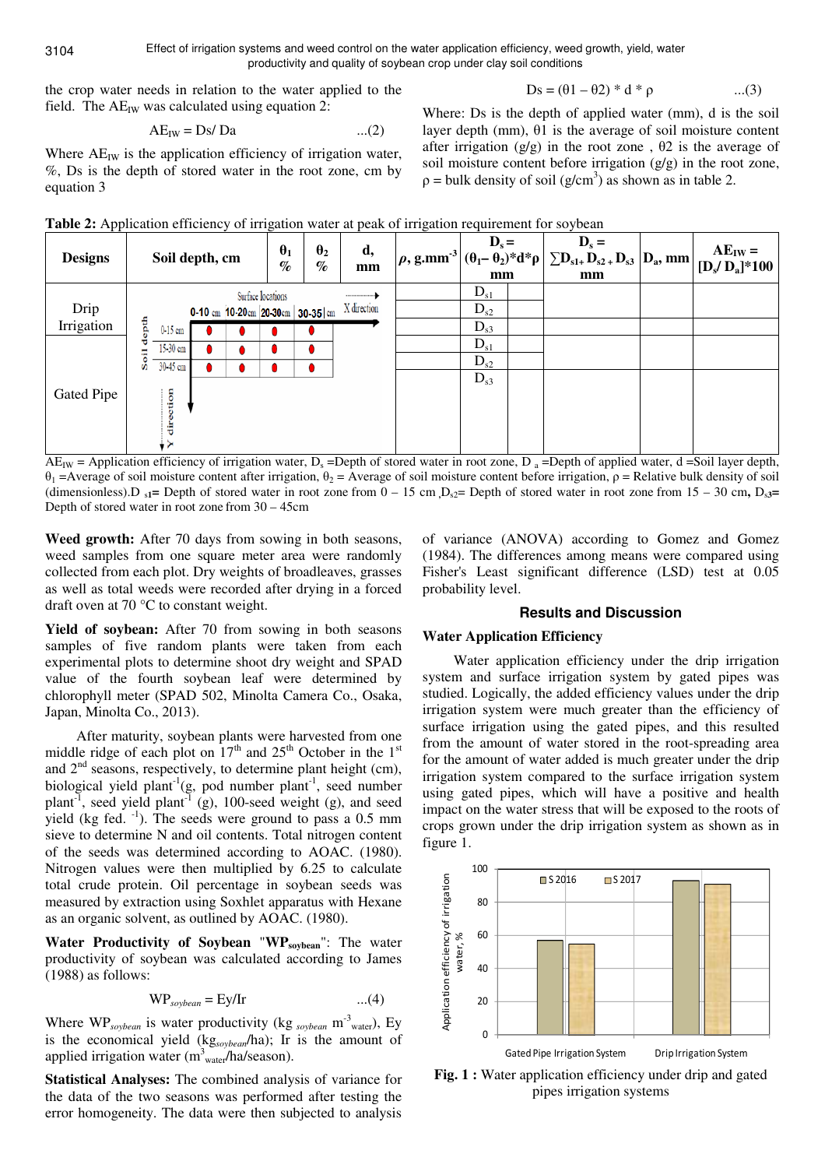Effect of irrigation systems and weed control on the water application efficiency, weed growth, yield, water productivity and quality of soybean crop under clay soil conditions

the crop water needs in relation to the water applied to the field. The  $AE_{IW}$  was calculated using equation 2:

$$
Ds = (\theta 1 - \theta 2) * d * \rho \qquad ...(3)
$$

$$
AE_{IW} = Ds/Da \qquad ...(2)
$$

Where  $AE_{IW}$  is the application efficiency of irrigation water, %, Ds is the depth of stored water in the root zone, cm by equation 3

Where: Ds is the depth of applied water (mm), d is the soil layer depth (mm), θ1 is the average of soil moisture content after irrigation (g/g) in the root zone,  $\theta$ 2 is the average of soil moisture content before irrigation (g/g) in the root zone,  $p =$  bulk density of soil (g/cm<sup>3</sup>) as shown as in table 2.





 $AE_{IW}$  = Application efficiency of irrigation water,  $D_s$  =Depth of stored water in root zone,  $D_a$  =Depth of applied water, d =Soil layer depth,  $\theta_1$  =Average of soil moisture content after irrigation,  $\theta_2$  = Average of soil moisture content before irrigation,  $\rho$  = Relative bulk density of soil (dimensionless).D  $_{s1}$  = Depth of stored water in root zone from  $0 - 15$  cm  $D_{s2}$  = Depth of stored water in root zone from  $15 - 30$  cm,  $D_{s3}$  = Depth of stored water in root zone from 30 – 45cm

**Weed growth:** After 70 days from sowing in both seasons, weed samples from one square meter area were randomly collected from each plot. Dry weights of broadleaves, grasses as well as total weeds were recorded after drying in a forced draft oven at 70 °C to constant weight.

Yield of soybean: After 70 from sowing in both seasons samples of five random plants were taken from each experimental plots to determine shoot dry weight and SPAD value of the fourth soybean leaf were determined by chlorophyll meter (SPAD 502, Minolta Camera Co., Osaka, Japan, Minolta Co., 2013).

After maturity, soybean plants were harvested from one middle ridge of each plot on  $17<sup>th</sup>$  and  $25<sup>th</sup>$  October in the  $1<sup>st</sup>$ and  $2<sup>nd</sup>$  seasons, respectively, to determine plant height (cm), biological yield plant<sup>-1</sup>(g, pod number plant<sup>-1</sup>, seed number plant<sup>-1</sup>, seed yield plant<sup>-1</sup> (g), 100-seed weight (g), and seed yield (kg fed.  $^{-1}$ ). The seeds were ground to pass a 0.5 mm sieve to determine N and oil contents. Total nitrogen content of the seeds was determined according to AOAC. (1980). Nitrogen values were then multiplied by 6.25 to calculate total crude protein. Oil percentage in soybean seeds was measured by extraction using Soxhlet apparatus with Hexane as an organic solvent, as outlined by AOAC. (1980).

**Water Productivity of Soybean** "**WPsoybean**": The water productivity of soybean was calculated according to James (1988) as follows:

$$
WP_{\text{soybean}} = Ey/Ir \qquad ...(4)
$$

Where WP*soybean* is water productivity (kg *soybean* m-3 water), Ey is the economical yield (kg*soybean*/ha); Ir is the amount of applied irrigation water  $(m<sup>3</sup><sub>water</sub>/ha/season)$ .

**Statistical Analyses:** The combined analysis of variance for the data of the two seasons was performed after testing the error homogeneity. The data were then subjected to analysis

of variance (ANOVA) according to Gomez and Gomez (1984). The differences among means were compared using Fisher's Least significant difference (LSD) test at 0.05 probability level.

### **Results and Discussion**

#### **Water Application Efficiency**

Water application efficiency under the drip irrigation system and surface irrigation system by gated pipes was studied. Logically, the added efficiency values under the drip irrigation system were much greater than the efficiency of surface irrigation using the gated pipes, and this resulted from the amount of water stored in the root-spreading area for the amount of water added is much greater under the drip irrigation system compared to the surface irrigation system using gated pipes, which will have a positive and health impact on the water stress that will be exposed to the roots of crops grown under the drip irrigation system as shown as in figure 1.



**Fig. 1 :** Water application efficiency under drip and gated pipes irrigation systems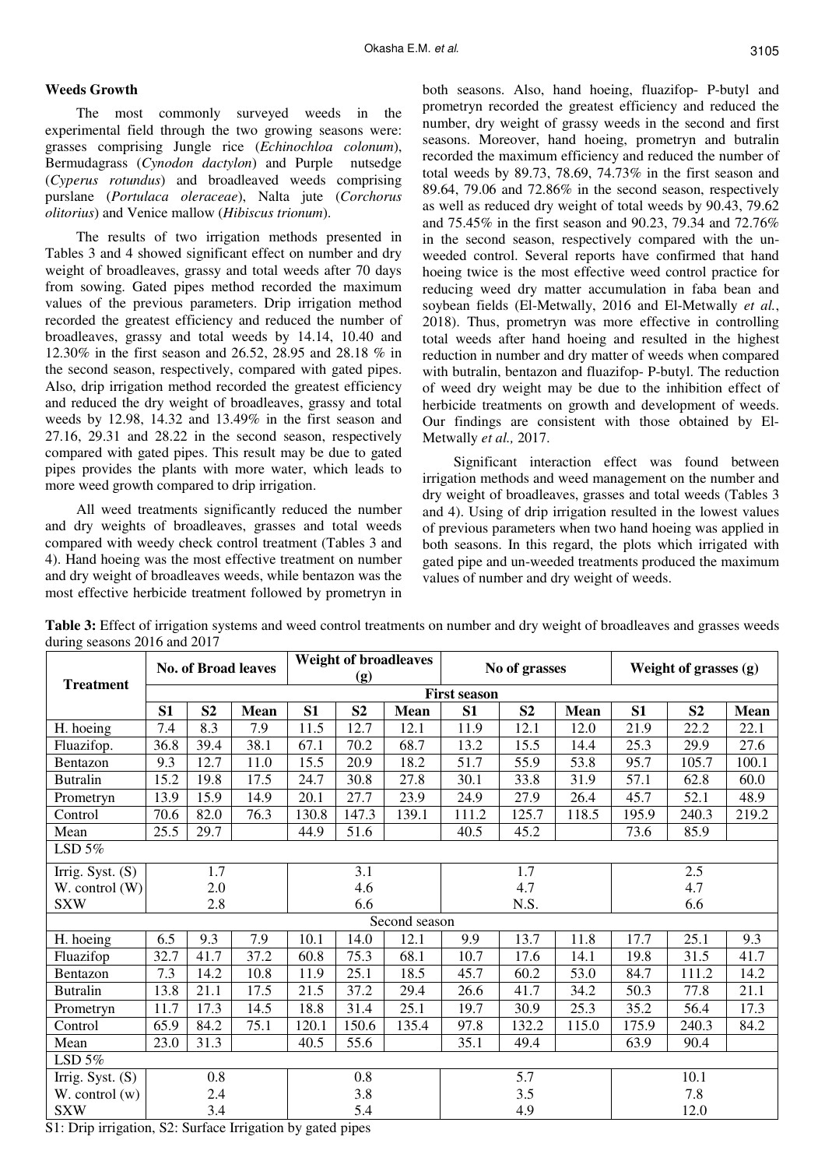## **Weeds Growth**

The most commonly surveyed weeds in the experimental field through the two growing seasons were: grasses comprising Jungle rice (*Echinochloa colonum*), Bermudagrass (*Cynodon dactylon*) and Purple nutsedge (*Cyperus rotundus*) and broadleaved weeds comprising purslane (*Portulaca oleraceae*), Nalta jute (*Corchorus olitorius*) and Venice mallow (*Hibiscus trionum*).

The results of two irrigation methods presented in Tables 3 and 4 showed significant effect on number and dry weight of broadleaves, grassy and total weeds after 70 days from sowing. Gated pipes method recorded the maximum values of the previous parameters. Drip irrigation method recorded the greatest efficiency and reduced the number of broadleaves, grassy and total weeds by 14.14, 10.40 and 12.30% in the first season and 26.52, 28.95 and 28.18 % in the second season, respectively, compared with gated pipes. Also, drip irrigation method recorded the greatest efficiency and reduced the dry weight of broadleaves, grassy and total weeds by 12.98, 14.32 and 13.49% in the first season and 27.16, 29.31 and 28.22 in the second season, respectively compared with gated pipes. This result may be due to gated pipes provides the plants with more water, which leads to more weed growth compared to drip irrigation.

All weed treatments significantly reduced the number and dry weights of broadleaves, grasses and total weeds compared with weedy check control treatment (Tables 3 and 4). Hand hoeing was the most effective treatment on number and dry weight of broadleaves weeds, while bentazon was the most effective herbicide treatment followed by prometryn in

both seasons. Also, hand hoeing, fluazifop- P-butyl and prometryn recorded the greatest efficiency and reduced the number, dry weight of grassy weeds in the second and first seasons. Moreover, hand hoeing, prometryn and butralin recorded the maximum efficiency and reduced the number of total weeds by 89.73, 78.69, 74.73% in the first season and 89.64, 79.06 and 72.86% in the second season, respectively as well as reduced dry weight of total weeds by 90.43, 79.62 and 75.45% in the first season and 90.23, 79.34 and 72.76% in the second season, respectively compared with the unweeded control. Several reports have confirmed that hand hoeing twice is the most effective weed control practice for reducing weed dry matter accumulation in faba bean and soybean fields (El-Metwally, 2016 and El-Metwally *et al.*, 2018). Thus, prometryn was more effective in controlling total weeds after hand hoeing and resulted in the highest reduction in number and dry matter of weeds when compared with butralin, bentazon and fluazifop- P-butyl. The reduction of weed dry weight may be due to the inhibition effect of herbicide treatments on growth and development of weeds. Our findings are consistent with those obtained by El-Metwally *et al.,* 2017.

Significant interaction effect was found between irrigation methods and weed management on the number and dry weight of broadleaves, grasses and total weeds (Tables 3 and 4). Using of drip irrigation resulted in the lowest values of previous parameters when two hand hoeing was applied in both seasons. In this regard, the plots which irrigated with gated pipe and un-weeded treatments produced the maximum values of number and dry weight of weeds.

|                    | <b>No. of Broad leaves</b> |                |      | <b>Weight of broadleaves</b><br>(g) |                |               |                     | No of grasses  |             |       | Weight of grasses (g) |             |  |
|--------------------|----------------------------|----------------|------|-------------------------------------|----------------|---------------|---------------------|----------------|-------------|-------|-----------------------|-------------|--|
| <b>Treatment</b>   |                            |                |      |                                     |                |               | <b>First season</b> |                |             |       |                       |             |  |
|                    | S1                         | S <sub>2</sub> | Mean | S1                                  | S <sub>2</sub> | Mean          | S1                  | S <sub>2</sub> | <b>Mean</b> | S1    | S <sub>2</sub>        | <b>Mean</b> |  |
| H. hoeing          | 7.4                        | 8.3            | 7.9  | 11.5                                | 12.7           | 12.1          | 11.9                | 12.1           | 12.0        | 21.9  | 22.2                  | 22.1        |  |
| Fluazifop.         | 36.8                       | 39.4           | 38.1 | 67.1                                | 70.2           | 68.7          | 13.2                | 15.5           | 14.4        | 25.3  | 29.9                  | 27.6        |  |
| Bentazon           | 9.3                        | 12.7           | 11.0 | 15.5                                | 20.9           | 18.2          | 51.7                | 55.9           | 53.8        | 95.7  | 105.7                 | 100.1       |  |
| <b>Butralin</b>    | 15.2                       | 19.8           | 17.5 | 24.7                                | 30.8           | 27.8          | 30.1                | 33.8           | 31.9        | 57.1  | 62.8                  | 60.0        |  |
| Prometryn          | 13.9                       | 15.9           | 14.9 | 20.1                                | 27.7           | 23.9          | 24.9                | 27.9           | 26.4        | 45.7  | 52.1                  | 48.9        |  |
| Control            | 70.6                       | 82.0           | 76.3 | 130.8                               | 147.3          | 139.1         | 111.2               | 125.7          | 118.5       | 195.9 | 240.3                 | 219.2       |  |
| Mean               | 25.5                       | 29.7           |      | 44.9                                | 51.6           |               | 40.5                | 45.2           |             | 73.6  | 85.9                  |             |  |
| LSD $5\%$          |                            |                |      |                                     |                |               |                     |                |             |       |                       |             |  |
| Irrig. Syst. $(S)$ |                            | 1.7            |      |                                     | 3.1            |               | 1.7                 |                |             | 2.5   |                       |             |  |
| W. control (W)     |                            | 2.0            |      |                                     | 4.6            |               | 4.7                 |                |             | 4.7   |                       |             |  |
| <b>SXW</b>         |                            | 2.8            |      |                                     | 6.6            |               | N.S.                |                |             | 6.6   |                       |             |  |
|                    |                            |                |      |                                     |                | Second season |                     |                |             |       |                       |             |  |
| H. hoeing          | 6.5                        | 9.3            | 7.9  | 10.1                                | 14.0           | 12.1          | 9.9                 | 13.7           | 11.8        | 17.7  | 25.1                  | 9.3         |  |
| Fluazifop          | 32.7                       | 41.7           | 37.2 | 60.8                                | 75.3           | 68.1          | 10.7                | 17.6           | 14.1        | 19.8  | 31.5                  | 41.7        |  |
| Bentazon           | 7.3                        | 14.2           | 10.8 | 11.9                                | 25.1           | 18.5          | 45.7                | 60.2           | 53.0        | 84.7  | 111.2                 | 14.2        |  |
| <b>Butralin</b>    | 13.8                       | 21.1           | 17.5 | 21.5                                | 37.2           | 29.4          | 26.6                | 41.7           | 34.2        | 50.3  | 77.8                  | 21.1        |  |
| Prometryn          | 11.7                       | 17.3           | 14.5 | 18.8                                | 31.4           | 25.1          | 19.7                | 30.9           | 25.3        | 35.2  | 56.4                  | 17.3        |  |
| Control            | 65.9                       | 84.2           | 75.1 | 120.1                               | 150.6          | 135.4         | 97.8                | 132.2          | 115.0       | 175.9 | 240.3                 | 84.2        |  |
| Mean               | 23.0                       | 31.3           |      | 40.5                                | 55.6           |               | 35.1                | 49.4           |             | 63.9  | 90.4                  |             |  |
| LSD $5%$           |                            |                |      |                                     |                |               |                     |                |             |       |                       |             |  |
| Irrig. Syst. $(S)$ | 0.8                        |                | 0.8  |                                     | 5.7            |               |                     | 10.1           |             |       |                       |             |  |
| W. control $(w)$   | 2.4                        |                |      | 3.8                                 |                | 3.5           |                     |                | 7.8         |       |                       |             |  |
| <b>SXW</b>         |                            | 3.4            |      |                                     | 5.4            |               |                     | 4.9            |             |       | 12.0                  |             |  |

**Table 3:** Effect of irrigation systems and weed control treatments on number and dry weight of broadleaves and grasses weeds during seasons 2016 and 2017

S1: Drip irrigation, S2: Surface Irrigation by gated pipes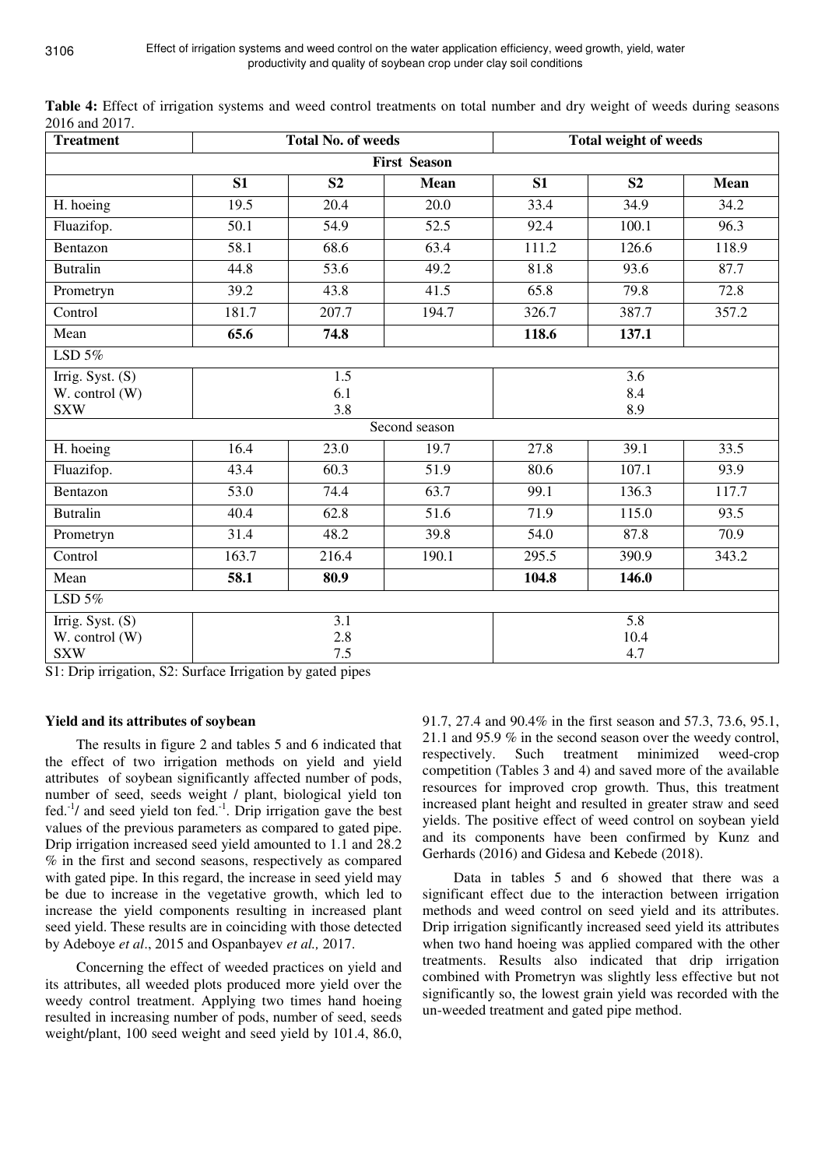| <b>Treatment</b>                                 |                   | <b>Total No. of weeds</b> |                   | Total weight of weeds |                                 |                   |  |  |  |  |  |
|--------------------------------------------------|-------------------|---------------------------|-------------------|-----------------------|---------------------------------|-------------------|--|--|--|--|--|
| <b>First Season</b>                              |                   |                           |                   |                       |                                 |                   |  |  |  |  |  |
|                                                  | S1                | S <sub>2</sub>            | Mean              | S1                    | S <sub>2</sub>                  | <b>Mean</b>       |  |  |  |  |  |
| H. hoeing                                        | 19.5              | 20.4                      | 20.0              | 33.4                  | 34.9                            | 34.2              |  |  |  |  |  |
| Fluazifop.                                       | $\overline{50.1}$ | $\overline{54.9}$         | $\overline{52.5}$ | 92.4                  | 100.1                           | 96.3              |  |  |  |  |  |
| Bentazon                                         | 58.1              | 68.6                      | 63.4              | 111.2                 | 126.6                           | 118.9             |  |  |  |  |  |
| <b>Butralin</b>                                  | 44.8              | 53.6                      | 49.2              | 81.8                  | 93.6                            | 87.7              |  |  |  |  |  |
| Prometryn                                        | 39.2              | 43.8                      | 41.5              | 65.8                  | 79.8                            | 72.8              |  |  |  |  |  |
| Control                                          | 181.7             | 207.7                     | 194.7             | 326.7                 | 387.7                           | 357.2             |  |  |  |  |  |
| Mean                                             | 65.6              | 74.8                      |                   | 118.6                 | 137.1                           |                   |  |  |  |  |  |
| LSD $5\%$                                        |                   |                           |                   |                       |                                 |                   |  |  |  |  |  |
| Irrig. Syst. $(S)$<br>W. control (W)             |                   | 1.5<br>6.1                |                   | 3.6<br>8.4            |                                 |                   |  |  |  |  |  |
| <b>SXW</b>                                       |                   | 3.8                       | Second season     |                       | 8.9                             |                   |  |  |  |  |  |
| H. hoeing                                        | 16.4              | 23.0                      | 19.7              | 27.8                  | 39.1                            | 33.5              |  |  |  |  |  |
| Fluazifop.                                       | 43.4              | 60.3                      | 51.9              | 80.6                  | 107.1                           | 93.9              |  |  |  |  |  |
| Bentazon                                         | 53.0              | 74.4                      | 63.7              | 99.1                  | 136.3                           | 117.7             |  |  |  |  |  |
| <b>Butralin</b>                                  | 40.4              | 62.8                      | $\overline{51.6}$ | 71.9                  | 115.0                           | 93.5              |  |  |  |  |  |
| Prometryn                                        | 31.4              | 48.2                      | 39.8              | 54.0                  | 87.8                            | $\overline{70.9}$ |  |  |  |  |  |
| Control                                          | 163.7             | 216.4                     | 190.1             | 295.5                 | 390.9                           | 343.2             |  |  |  |  |  |
| Mean                                             | 58.1              | 80.9                      |                   | 104.8                 | 146.0                           |                   |  |  |  |  |  |
| LSD $5\%$                                        |                   |                           |                   |                       |                                 |                   |  |  |  |  |  |
| Irrig. Syst. (S)<br>W. control (W)<br><b>SXW</b> |                   | 3.1<br>2.8<br>$7.5$       |                   |                       | $\overline{5.8}$<br>10.4<br>4.7 |                   |  |  |  |  |  |

**Table 4:** Effect of irrigation systems and weed control treatments on total number and dry weight of weeds during seasons 2016 and 2017.

S1: Drip irrigation, S2: Surface Irrigation by gated pipes

## **Yield and its attributes of soybean**

The results in figure 2 and tables 5 and 6 indicated that the effect of two irrigation methods on yield and yield attributes of soybean significantly affected number of pods, number of seed, seeds weight / plant, biological yield ton fed. $^{-1}$  and seed yield ton fed. $^{-1}$ . Drip irrigation gave the best values of the previous parameters as compared to gated pipe. Drip irrigation increased seed yield amounted to 1.1 and 28.2 % in the first and second seasons, respectively as compared with gated pipe. In this regard, the increase in seed yield may be due to increase in the vegetative growth, which led to increase the yield components resulting in increased plant seed yield. These results are in coinciding with those detected by Adeboye *et al*., 2015 and Ospanbayev *et al.,* 2017.

Concerning the effect of weeded practices on yield and its attributes, all weeded plots produced more yield over the weedy control treatment. Applying two times hand hoeing resulted in increasing number of pods, number of seed, seeds weight/plant, 100 seed weight and seed yield by 101.4, 86.0, 91.7, 27.4 and 90.4% in the first season and 57.3, 73.6, 95.1, 21.1 and 95.9 % in the second season over the weedy control, respectively. Such treatment minimized weed-crop competition (Tables 3 and 4) and saved more of the available resources for improved crop growth. Thus, this treatment increased plant height and resulted in greater straw and seed yields. The positive effect of weed control on soybean yield and its components have been confirmed by Kunz and Gerhards (2016) and Gidesa and Kebede (2018).

Data in tables 5 and 6 showed that there was a significant effect due to the interaction between irrigation methods and weed control on seed yield and its attributes. Drip irrigation significantly increased seed yield its attributes when two hand hoeing was applied compared with the other treatments. Results also indicated that drip irrigation combined with Prometryn was slightly less effective but not significantly so, the lowest grain yield was recorded with the un-weeded treatment and gated pipe method.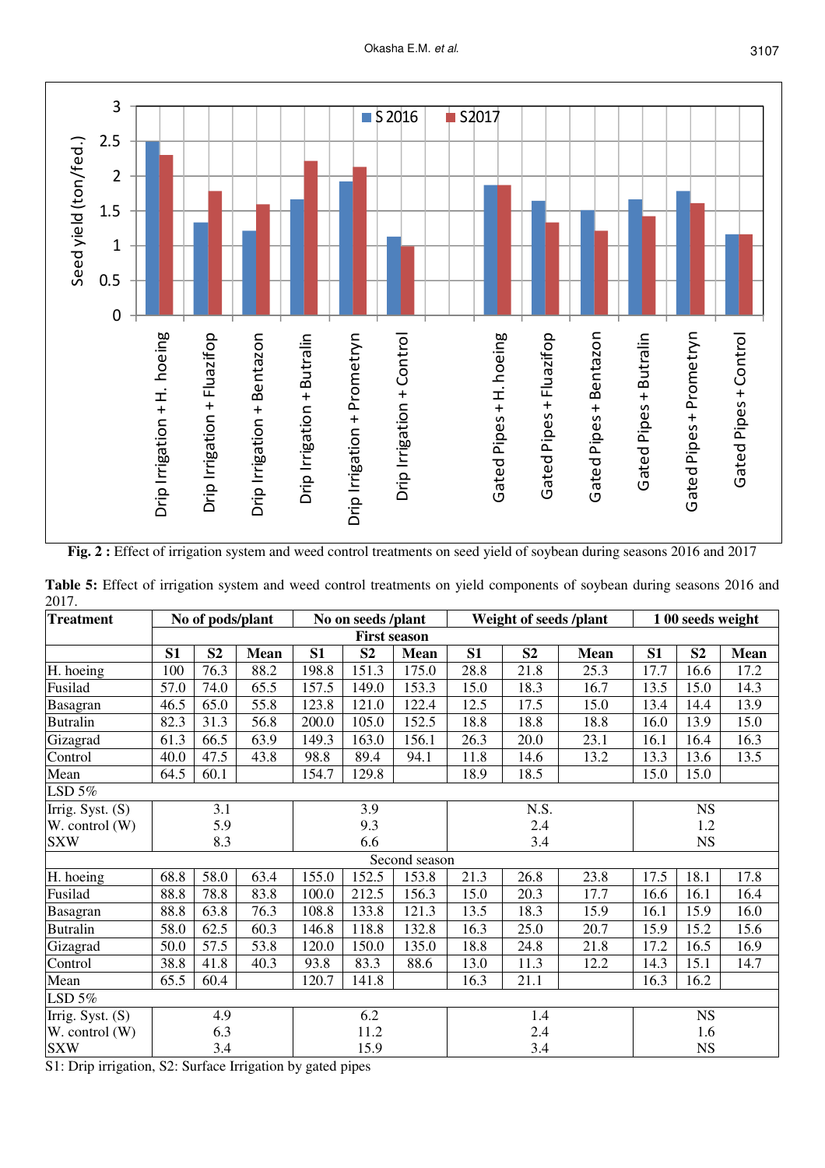

**Fig. 2 :** Effect of irrigation system and weed control treatments on seed yield of soybean during seasons 2016 and 2017

| Treatment                                                 |                     | No of pods/plant |             |       | No on seeds /plant |               | Weight of seeds /plant |                | 1 00 seeds weight |      |                |             |
|-----------------------------------------------------------|---------------------|------------------|-------------|-------|--------------------|---------------|------------------------|----------------|-------------------|------|----------------|-------------|
|                                                           | <b>First season</b> |                  |             |       |                    |               |                        |                |                   |      |                |             |
|                                                           | S1                  | S <sub>2</sub>   | <b>Mean</b> | S1    | S <sub>2</sub>     | <b>Mean</b>   | S1                     | S <sub>2</sub> | Mean              | S1   | S <sub>2</sub> | <b>Mean</b> |
| H. hoeing                                                 | 100                 | 76.3             | 88.2        | 198.8 | 151.3              | 175.0         | 28.8                   | 21.8           | 25.3              | 17.7 | 16.6           | 17.2        |
| Fusilad                                                   | 57.0                | 74.0             | 65.5        | 157.5 | 149.0              | 153.3         | 15.0                   | 18.3           | 16.7              | 13.5 | 15.0           | 14.3        |
| Basagran                                                  | 46.5                | 65.0             | 55.8        | 123.8 | 121.0              | 122.4         | 12.5                   | 17.5           | 15.0              | 13.4 | 14.4           | 13.9        |
| <b>Butralin</b>                                           | 82.3                | 31.3             | 56.8        | 200.0 | 105.0              | 152.5         | 18.8                   | 18.8           | 18.8              | 16.0 | 13.9           | 15.0        |
| Gizagrad                                                  | 61.3                | 66.5             | 63.9        | 149.3 | 163.0              | 156.1         | 26.3                   | 20.0           | 23.1              | 16.1 | 16.4           | 16.3        |
| Control                                                   | 40.0                | 47.5             | 43.8        | 98.8  | 89.4               | 94.1          | 11.8                   | 14.6           | 13.2              | 13.3 | 13.6           | 13.5        |
| Mean                                                      | 64.5                | 60.1             |             | 154.7 | 129.8              |               | 18.9                   | 18.5           |                   | 15.0 | 15.0           |             |
| LSD 5%                                                    |                     |                  |             |       |                    |               |                        |                |                   |      |                |             |
| Irrig. Syst. $(S)$                                        | 3.1                 |                  |             | 3.9   |                    | N.S.          |                        |                | <b>NS</b>         |      |                |             |
| $W.$ control $(W)$                                        |                     | 5.9              |             | 9.3   |                    | 2.4           |                        |                | 1.2               |      |                |             |
| <b>SXW</b>                                                |                     | 8.3              |             | 6.6   |                    | 3.4           |                        |                | <b>NS</b>         |      |                |             |
|                                                           |                     |                  |             |       |                    | Second season |                        |                |                   |      |                |             |
| H. hoeing                                                 | 68.8                | 58.0             | 63.4        | 155.0 | 152.5              | 153.8         | 21.3                   | 26.8           | 23.8              | 17.5 | 18.1           | 17.8        |
| Fusilad                                                   | 88.8                | 78.8             | 83.8        | 100.0 | 212.5              | 156.3         | 15.0                   | 20.3           | 17.7              | 16.6 | 16.1           | 16.4        |
| Basagran                                                  | 88.8                | 63.8             | 76.3        | 108.8 | 133.8              | 121.3         | 13.5                   | 18.3           | 15.9              | 16.1 | 15.9           | 16.0        |
| Butralin                                                  | 58.0                | 62.5             | 60.3        | 146.8 | 118.8              | 132.8         | 16.3                   | 25.0           | 20.7              | 15.9 | 15.2           | 15.6        |
| Gizagrad                                                  | 50.0                | 57.5             | 53.8        | 120.0 | 150.0              | 135.0         | 18.8                   | 24.8           | 21.8              | 17.2 | 16.5           | 16.9        |
| Control                                                   | 38.8                | 41.8             | 40.3        | 93.8  | 83.3               | 88.6          | 13.0                   | 11.3           | 12.2              | 14.3 | 15.1           | 14.7        |
| Mean                                                      | 65.5                | 60.4             |             | 120.7 | 141.8              |               | 16.3                   | 21.1           |                   | 16.3 | 16.2           |             |
| LSD 5%                                                    |                     |                  |             |       |                    |               |                        |                |                   |      |                |             |
| Irrig. Syst. (S)                                          | 4.9                 |                  | 6.2         |       | 1.4                |               |                        | <b>NS</b>      |                   |      |                |             |
| W. control (W)                                            | 6.3                 |                  |             | 11.2  |                    |               | 2.4                    |                |                   | 1.6  |                |             |
| <b>SXW</b>                                                |                     | 3.4              |             |       | 15.9               |               |                        | 3.4            |                   |      | <b>NS</b>      |             |
| 81. Drip irrigation 82. Surface Irrigation by oated pines |                     |                  |             |       |                    |               |                        |                |                   |      |                |             |

**Table 5:** Effect of irrigation system and weed control treatments on yield components of soybean during seasons 2016 and 2017.

S1: Drip irrigation, S2: Surface Irrigation by gated pipes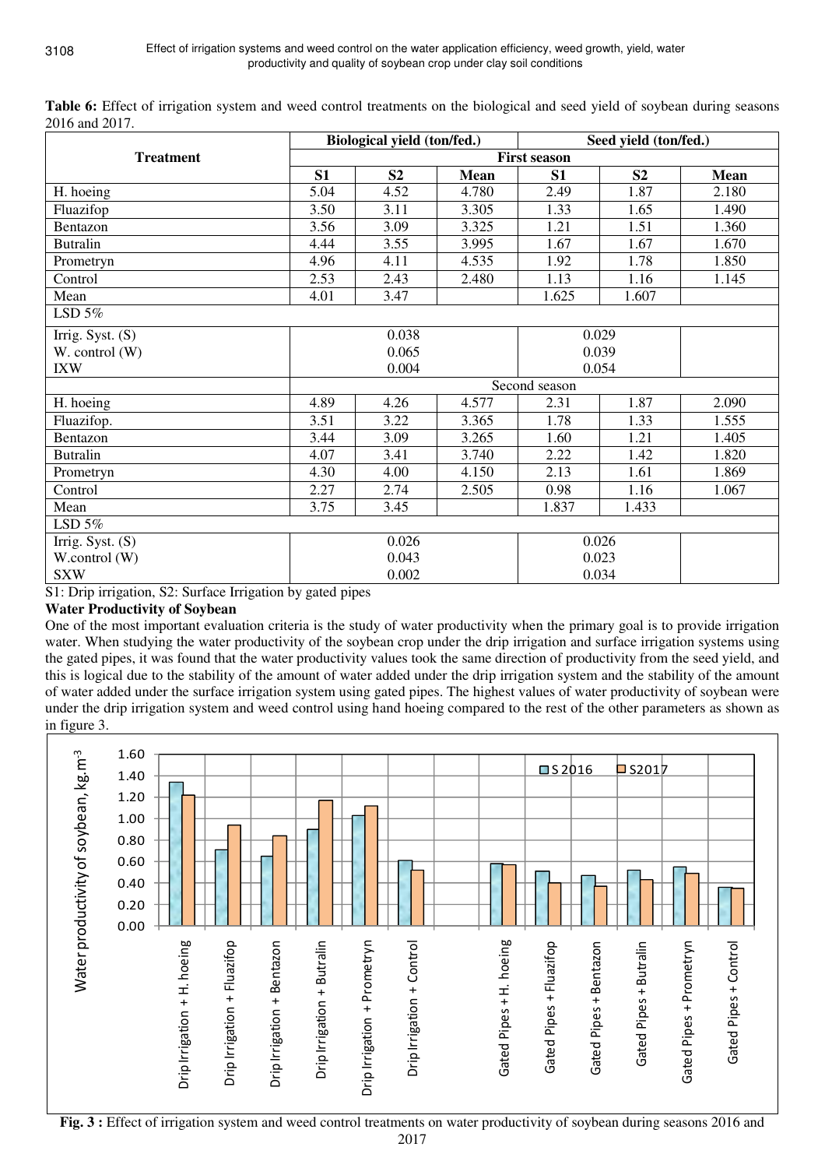|                    |       | Biological yield (ton/fed.) |             | Seed yield (ton/fed.) |                |       |  |
|--------------------|-------|-----------------------------|-------------|-----------------------|----------------|-------|--|
| <b>Treatment</b>   |       |                             |             | <b>First season</b>   |                |       |  |
|                    | S1    | S <sub>2</sub>              | <b>Mean</b> | S <sub>1</sub>        | S <sub>2</sub> | Mean  |  |
| H. hoeing          | 5.04  | 4.52                        | 4.780       | 2.49                  | 1.87           | 2.180 |  |
| Fluazifop          | 3.50  | 3.11                        | 3.305       | 1.33                  | 1.65           | 1.490 |  |
| Bentazon           | 3.56  | 3.09                        | 3.325       | 1.21                  | 1.51           | 1.360 |  |
| <b>Butralin</b>    | 4.44  | 3.55                        | 3.995       | 1.67                  | 1.67           | 1.670 |  |
| Prometryn          | 4.96  | 4.11                        | 4.535       | 1.92                  | 1.78           | 1.850 |  |
| Control            | 2.53  | 2.43                        | 2.480       | 1.13                  | 1.16           | 1.145 |  |
| Mean               | 4.01  | 3.47                        |             | 1.625                 | 1.607          |       |  |
| LSD $5%$           |       |                             |             |                       |                |       |  |
| Irrig. Syst. (S)   |       | 0.038                       |             | 0.029                 |                |       |  |
| W. control (W)     |       | 0.065                       |             | 0.039                 |                |       |  |
| <b>IXW</b>         |       | 0.004                       |             | 0.054                 |                |       |  |
|                    |       |                             |             | Second season         |                |       |  |
| H. hoeing          | 4.89  | 4.26                        | 4.577       | 2.31                  | 1.87           | 2.090 |  |
| Fluazifop.         | 3.51  | 3.22                        | 3.365       | 1.78                  | 1.33           | 1.555 |  |
| Bentazon           | 3.44  | 3.09                        | 3.265       | 1.60                  | 1.21           | 1.405 |  |
| <b>Butralin</b>    | 4.07  | 3.41                        | 3.740       | 2.22                  | 1.42           | 1.820 |  |
| Prometryn          | 4.30  | 4.00                        | 4.150       | 2.13                  | 1.61           | 1.869 |  |
| Control            | 2.27  | 2.74                        | 2.505       | 0.98                  | 1.16           | 1.067 |  |
| Mean               | 3.75  | 3.45                        |             | 1.837                 | 1.433          |       |  |
| LSD $5%$           |       |                             |             |                       |                |       |  |
| Irrig. Syst. $(S)$ | 0.026 |                             |             | 0.026                 |                |       |  |
| W.control (W)      |       | 0.043                       |             | 0.023                 |                |       |  |
| <b>SXW</b>         |       | 0.002                       |             | 0.034                 |                |       |  |

**Table 6:** Effect of irrigation system and weed control treatments on the biological and seed yield of soybean during seasons 2016 and 2017.

S1: Drip irrigation, S2: Surface Irrigation by gated pipes

# **Water Productivity of Soybean**

One of the most important evaluation criteria is the study of water productivity when the primary goal is to provide irrigation water. When studying the water productivity of the soybean crop under the drip irrigation and surface irrigation systems using the gated pipes, it was found that the water productivity values took the same direction of productivity from the seed yield, and this is logical due to the stability of the amount of water added under the drip irrigation system and the stability of the amount of water added under the surface irrigation system using gated pipes. The highest values of water productivity of soybean were under the drip irrigation system and weed control using hand hoeing compared to the rest of the other parameters as shown as in figure 3.



**Fig. 3 :** Effect of irrigation system and weed control treatments on water productivity of soybean during seasons 2016 and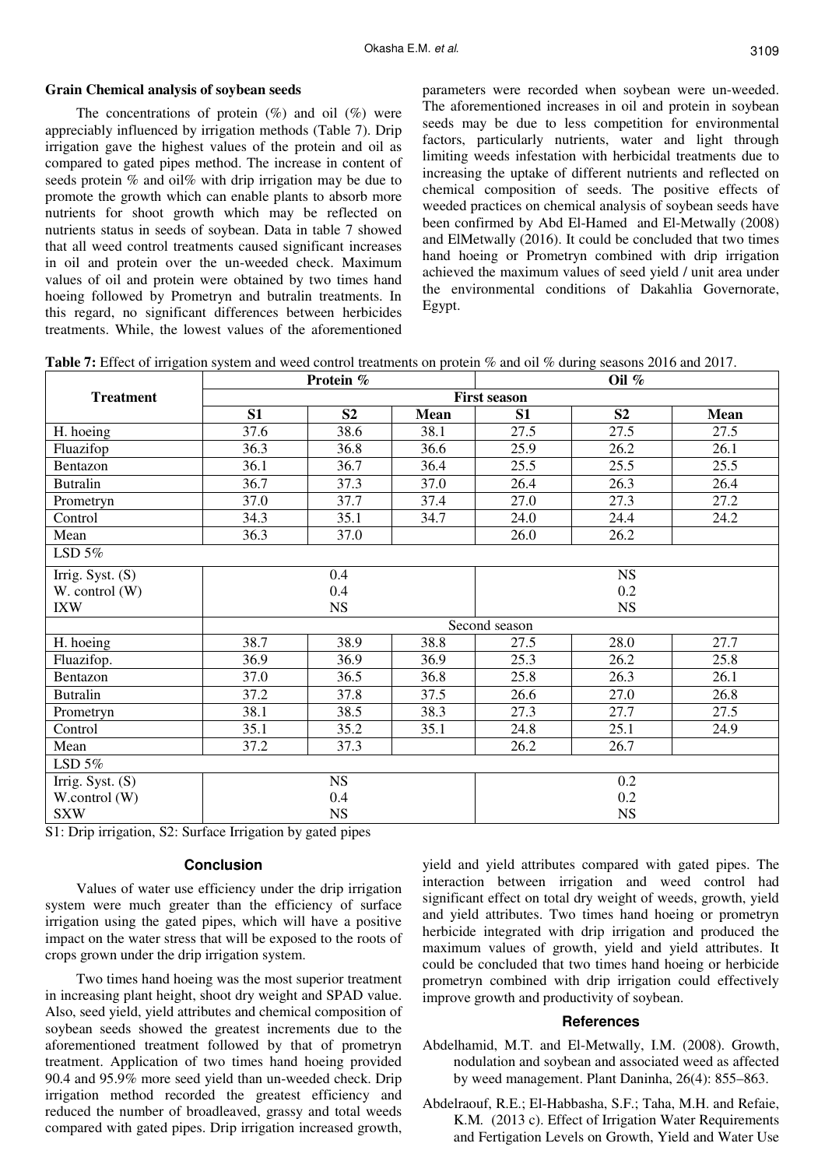#### **Grain Chemical analysis of soybean seeds**

The concentrations of protein  $(\%)$  and oil  $(\%)$  were appreciably influenced by irrigation methods (Table 7). Drip irrigation gave the highest values of the protein and oil as compared to gated pipes method. The increase in content of seeds protein % and oil% with drip irrigation may be due to promote the growth which can enable plants to absorb more nutrients for shoot growth which may be reflected on nutrients status in seeds of soybean. Data in table 7 showed that all weed control treatments caused significant increases in oil and protein over the un-weeded check. Maximum values of oil and protein were obtained by two times hand hoeing followed by Prometryn and butralin treatments. In this regard, no significant differences between herbicides treatments. While, the lowest values of the aforementioned parameters were recorded when soybean were un-weeded. The aforementioned increases in oil and protein in soybean seeds may be due to less competition for environmental factors, particularly nutrients, water and light through limiting weeds infestation with herbicidal treatments due to increasing the uptake of different nutrients and reflected on chemical composition of seeds. The positive effects of weeded practices on chemical analysis of soybean seeds have been confirmed by Abd El-Hamed and El-Metwally (2008) and ElMetwally (2016). It could be concluded that two times hand hoeing or Prometryn combined with drip irrigation achieved the maximum values of seed yield / unit area under the environmental conditions of Dakahlia Governorate, Egypt.

**Table 7:** Effect of irrigation system and weed control treatments on protein % and oil % during seasons 2016 and 2017.

|                    |      | Protein %      |             | Oil $%$             |                |      |  |  |
|--------------------|------|----------------|-------------|---------------------|----------------|------|--|--|
| <b>Treatment</b>   |      |                |             | <b>First season</b> |                |      |  |  |
|                    | S1   | S <sub>2</sub> | <b>Mean</b> | S1                  | S <sub>2</sub> | Mean |  |  |
| H. hoeing          | 37.6 | 38.6           | 38.1        | 27.5                | 27.5           | 27.5 |  |  |
| Fluazifop          | 36.3 | 36.8           | 36.6        | 25.9                | 26.2           | 26.1 |  |  |
| Bentazon           | 36.1 | 36.7           | 36.4        | 25.5                | 25.5           | 25.5 |  |  |
| <b>Butralin</b>    | 36.7 | 37.3           | 37.0        | 26.4                | 26.3           | 26.4 |  |  |
| Prometryn          | 37.0 | 37.7           | 37.4        | 27.0                | 27.3           | 27.2 |  |  |
| Control            | 34.3 | 35.1           | 34.7        | 24.0                | 24.4           | 24.2 |  |  |
| Mean               | 36.3 | 37.0           |             | 26.0                | 26.2           |      |  |  |
| LSD $5%$           |      |                |             |                     |                |      |  |  |
| Irrig. Syst. (S)   |      | 0.4            |             | <b>NS</b>           |                |      |  |  |
| W. control (W)     |      | 0.4            |             | 0.2                 |                |      |  |  |
| <b>IXW</b>         |      | <b>NS</b>      |             | <b>NS</b>           |                |      |  |  |
|                    |      |                |             | Second season       |                |      |  |  |
| H. hoeing          | 38.7 | 38.9           | 38.8        | 27.5                | 28.0           | 27.7 |  |  |
| Fluazifop.         | 36.9 | 36.9           | 36.9        | 25.3                | 26.2           | 25.8 |  |  |
| Bentazon           | 37.0 | 36.5           | 36.8        | 25.8                | 26.3           | 26.1 |  |  |
| <b>Butralin</b>    | 37.2 | 37.8           | 37.5        | 26.6                | 27.0           | 26.8 |  |  |
| Prometryn          | 38.1 | 38.5           | 38.3        | 27.3                | 27.7           | 27.5 |  |  |
| Control            | 35.1 | 35.2           | 35.1        | 24.8                | 25.1           | 24.9 |  |  |
| Mean               | 37.2 | 37.3           |             | 26.2                | 26.7           |      |  |  |
| LSD $5%$           |      |                |             |                     |                |      |  |  |
| Irrig. Syst. $(S)$ |      | <b>NS</b>      |             | 0.2                 |                |      |  |  |
| W.control (W)      |      | 0.4            |             | 0.2                 |                |      |  |  |
| <b>SXW</b>         |      | <b>NS</b>      |             |                     | <b>NS</b>      |      |  |  |

S1: Drip irrigation, S2: Surface Irrigation by gated pipes

#### **Conclusion**

Values of water use efficiency under the drip irrigation system were much greater than the efficiency of surface irrigation using the gated pipes, which will have a positive impact on the water stress that will be exposed to the roots of crops grown under the drip irrigation system.

Two times hand hoeing was the most superior treatment in increasing plant height, shoot dry weight and SPAD value. Also, seed yield, yield attributes and chemical composition of soybean seeds showed the greatest increments due to the aforementioned treatment followed by that of prometryn treatment. Application of two times hand hoeing provided 90.4 and 95.9% more seed yield than un-weeded check. Drip irrigation method recorded the greatest efficiency and reduced the number of broadleaved, grassy and total weeds compared with gated pipes. Drip irrigation increased growth,

yield and yield attributes compared with gated pipes. The interaction between irrigation and weed control had significant effect on total dry weight of weeds, growth, yield and yield attributes. Two times hand hoeing or prometryn herbicide integrated with drip irrigation and produced the maximum values of growth, yield and yield attributes. It could be concluded that two times hand hoeing or herbicide prometryn combined with drip irrigation could effectively improve growth and productivity of soybean.

#### **References**

- Abdelhamid, M.T. and El-Metwally, I.M. (2008). Growth, nodulation and soybean and associated weed as affected by weed management. Plant Daninha, 26(4): 855–863.
- Abdelraouf, R.E.; El-Habbasha, S.F.; Taha, M.H. and Refaie, K.M*.* (2013 c). Effect of Irrigation Water Requirements and Fertigation Levels on Growth, Yield and Water Use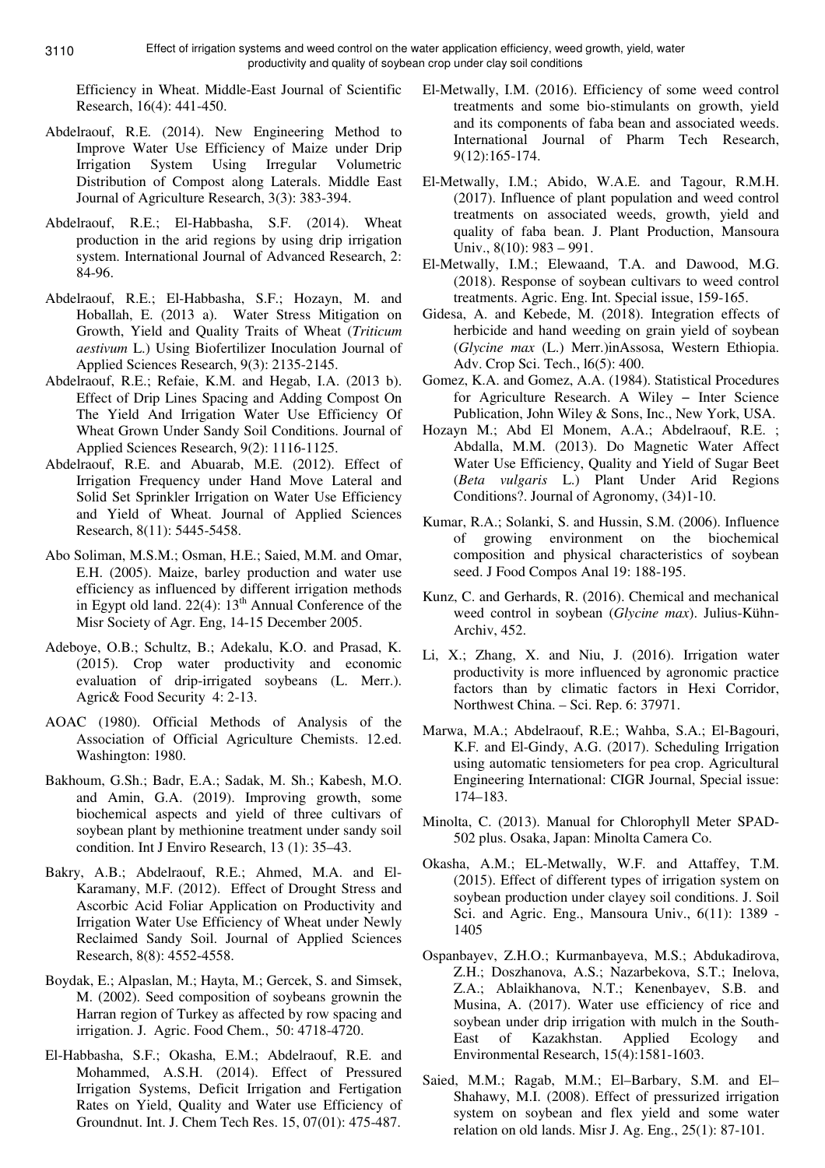Efficiency in Wheat. Middle-East Journal of Scientific Research, 16(4): 441-450.

- Abdelraouf, R.E. (2014). New Engineering Method to Improve Water Use Efficiency of Maize under Drip Irrigation System Using Irregular Volumetric Distribution of Compost along Laterals. Middle East Journal of Agriculture Research, 3(3): 383-394.
- Abdelraouf, R.E.; El-Habbasha, S.F. (2014). Wheat production in the arid regions by using drip irrigation system. International Journal of Advanced Research, 2: 84-96.
- Abdelraouf, R.E.; El-Habbasha, S.F.; Hozayn, M. and Hoballah, E. (2013 a). Water Stress Mitigation on Growth, Yield and Quality Traits of Wheat (*Triticum aestivum* L.) Using Biofertilizer Inoculation Journal of Applied Sciences Research, 9(3): 2135-2145.
- Abdelraouf, R.E.; Refaie, K.M. and Hegab, I.A. (2013 b). Effect of Drip Lines Spacing and Adding Compost On The Yield And Irrigation Water Use Efficiency Of Wheat Grown Under Sandy Soil Conditions. Journal of Applied Sciences Research, 9(2): 1116-1125.
- Abdelraouf, R.E. and Abuarab, M.E. (2012). Effect of Irrigation Frequency under Hand Move Lateral and Solid Set Sprinkler Irrigation on Water Use Efficiency and Yield of Wheat. Journal of Applied Sciences Research, 8(11): 5445-5458.
- Abo Soliman, M.S.M.; Osman, H.E.; Saied, M.M. and Omar, E.H. (2005). Maize, barley production and water use efficiency as influenced by different irrigation methods in Egypt old land. 22(4): 13<sup>th</sup> Annual Conference of the Misr Society of Agr. Eng, 14-15 December 2005.
- Adeboye, O.B.; Schultz, B.; Adekalu, K.O. and Prasad, K. (2015). Crop water productivity and economic evaluation of drip-irrigated soybeans (L. Merr.). Agric& Food Security 4: 2-13.
- AOAC (1980). Official Methods of Analysis of the Association of Official Agriculture Chemists. 12.ed. Washington: 1980.
- Bakhoum, G.Sh.; Badr, E.A.; Sadak, M. Sh.; Kabesh, M.O. and Amin, G.A. (2019). Improving growth, some biochemical aspects and yield of three cultivars of soybean plant by methionine treatment under sandy soil condition. Int J Enviro Research, 13 (1): 35–43.
- Bakry, A.B.; Abdelraouf, R.E.; Ahmed, M.A. and El-Karamany, M.F. (2012). Effect of Drought Stress and Ascorbic Acid Foliar Application on Productivity and Irrigation Water Use Efficiency of Wheat under Newly Reclaimed Sandy Soil. Journal of Applied Sciences Research, 8(8): 4552-4558.
- Boydak, E.; Alpaslan, M.; Hayta, M.; Gercek, S. and Simsek, M. (2002). Seed composition of soybeans grownin the Harran region of Turkey as affected by row spacing and irrigation. J. Agric. Food Chem., 50: 4718-4720.
- El-Habbasha, S.F.; Okasha, E.M.; Abdelraouf, R.E. and Mohammed, A.S.H. (2014). Effect of Pressured Irrigation Systems, Deficit Irrigation and Fertigation Rates on Yield, Quality and Water use Efficiency of Groundnut. Int. J. Chem Tech Res. 15, 07(01): 475-487.
- El-Metwally, I.M. (2016). Efficiency of some weed control treatments and some bio-stimulants on growth, yield and its components of faba bean and associated weeds. International Journal of Pharm Tech Research, 9(12):165-174.
- El-Metwally, I.M.; Abido, W.A.E. and Tagour, R.M.H. (2017). Influence of plant population and weed control treatments on associated weeds, growth, yield and quality of faba bean. J. Plant Production, Mansoura Univ., 8(10): 983 – 991.
- El-Metwally, I.M.; Elewaand, T.A. and Dawood, M.G. (2018). Response of soybean cultivars to weed control treatments. Agric. Eng. Int. Special issue, 159-165.
- Gidesa, A. and Kebede, M. (2018). Integration effects of herbicide and hand weeding on grain yield of soybean (*Glycine max* (L.) Merr.)inAssosa, Western Ethiopia. Adv. Crop Sci. Tech., l6(5): 400.
- Gomez, K.A. and Gomez, A.A. (1984). Statistical Procedures for Agriculture Research. A Wiley − Inter Science Publication, John Wiley & Sons, Inc., New York, USA.
- Hozayn M.; Abd El Monem, A.A.; Abdelraouf, R.E. ; Abdalla, M.M. (2013). Do Magnetic Water Affect Water Use Efficiency, Quality and Yield of Sugar Beet (*Beta vulgaris* L.) Plant Under Arid Regions Conditions?. Journal of Agronomy, (34)1-10.
- Kumar, R.A.; Solanki, S. and Hussin, S.M. (2006). Influence of growing environment on the biochemical composition and physical characteristics of soybean seed. J Food Compos Anal 19: 188-195.
- Kunz, C. and Gerhards, R. (2016). Chemical and mechanical weed control in soybean (*Glycine max*). Julius-Kühn-Archiv, 452.
- Li, X.; Zhang, X. and Niu, J. (2016). Irrigation water productivity is more influenced by agronomic practice factors than by climatic factors in Hexi Corridor, Northwest China. – Sci. Rep. 6: 37971.
- Marwa, M.A.; Abdelraouf, R.E.; Wahba, S.A.; El-Bagouri, K.F. and El-Gindy, A.G. (2017). Scheduling Irrigation using automatic tensiometers for pea crop. Agricultural Engineering International: CIGR Journal, Special issue: 174–183.
- Minolta, C. (2013). Manual for Chlorophyll Meter SPAD-502 plus. Osaka, Japan: Minolta Camera Co.
- Okasha, A.M.; EL-Metwally, W.F. and Attaffey, T.M. (2015). Effect of different types of irrigation system on soybean production under clayey soil conditions. J. Soil Sci. and Agric. Eng., Mansoura Univ., 6(11): 1389 - 1405
- Ospanbayev, Z.H.O.; Kurmanbayeva, M.S.; Abdukadirova, Z.H.; Doszhanova, A.S.; Nazarbekova, S.T.; Inelova, Z.A.; Ablaikhanova, N.T.; Kenenbayev, S.B. and Musina, A. (2017). Water use efficiency of rice and soybean under drip irrigation with mulch in the South-East of Kazakhstan. Applied Ecology and Environmental Research, 15(4):1581-1603.
- Saied, M.M.; Ragab, M.M.; El–Barbary, S.M. and El– Shahawy, M.I. (2008). Effect of pressurized irrigation system on soybean and flex yield and some water relation on old lands. Misr J. Ag. Eng., 25(1): 87-101.